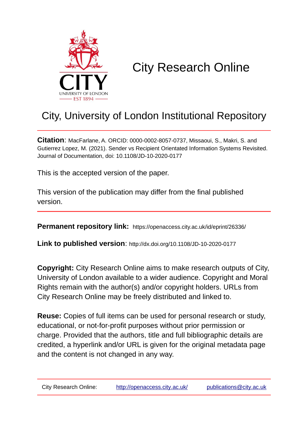

# City Research Online

## City, University of London Institutional Repository

**Citation**: MacFarlane, A. ORCID: 0000-0002-8057-0737, Missaoui, S., Makri, S. and Gutierrez Lopez, M. (2021). Sender vs Recipient Orientated Information Systems Revisited. Journal of Documentation, doi: 10.1108/JD-10-2020-0177

This is the accepted version of the paper.

This version of the publication may differ from the final published version.

**Permanent repository link:** https://openaccess.city.ac.uk/id/eprint/26336/

**Link to published version**: http://dx.doi.org/10.1108/JD-10-2020-0177

**Copyright:** City Research Online aims to make research outputs of City, University of London available to a wider audience. Copyright and Moral Rights remain with the author(s) and/or copyright holders. URLs from City Research Online may be freely distributed and linked to.

**Reuse:** Copies of full items can be used for personal research or study, educational, or not-for-profit purposes without prior permission or charge. Provided that the authors, title and full bibliographic details are credited, a hyperlink and/or URL is given for the original metadata page and the content is not changed in any way.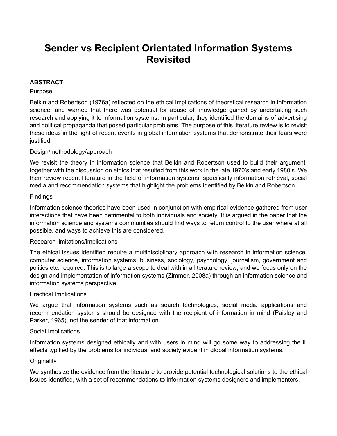### **Sender vs Recipient Orientated Information Systems Revisited**

#### **ABSTRACT**

#### Purpose

Belkin and Robertson (1976a) reflected on the ethical implications of theoretical research in information science, and warned that there was potential for abuse of knowledge gained by undertaking such research and applying it to information systems. In particular, they identified the domains of advertising and political propaganda that posed particular problems. The purpose of this literature review is to revisit these ideas in the light of recent events in global information systems that demonstrate their fears were justified.

#### Design/methodology/approach

We revisit the theory in information science that Belkin and Robertson used to build their argument, together with the discussion on ethics that resulted from this work in the late 1970's and early 1980's. We then review recent literature in the field of information systems, specifically information retrieval, social media and recommendation systems that highlight the problems identified by Belkin and Robertson.

#### Findings

Information science theories have been used in conjunction with empirical evidence gathered from user interactions that have been detrimental to both individuals and society. It is argued in the paper that the information science and systems communities should find ways to return control to the user where at all possible, and ways to achieve this are considered.

#### Research limitations/implications

The ethical issues identified require a multidisciplinary approach with research in information science, computer science, information systems, business, sociology, psychology, journalism, government and politics etc. required. This is to large a scope to deal with in a literature review, and we focus only on the design and implementation of information systems (Zimmer, 2008a) through an information science and information systems perspective.

#### Practical Implications

We argue that information systems such as search technologies, social media applications and recommendation systems should be designed with the recipient of information in mind (Paisley and Parker, 1965), not the sender of that information.

#### Social Implications

Information systems designed ethically and with users in mind will go some way to addressing the ill effects typified by the problems for individual and society evident in global information systems.

#### **Originality**

We synthesize the evidence from the literature to provide potential technological solutions to the ethical issues identified, with a set of recommendations to information systems designers and implementers.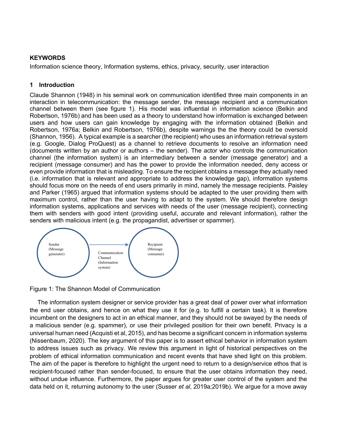#### **KEYWORDS**

Information science theory, Information systems, ethics, privacy, security, user interaction

#### **1 Introduction**

Claude Shannon (1948) in his seminal work on communication identified three main components in an interaction in telecommunication: the message sender, the message recipient and a communication channel between them (see figure 1). His model was influential in information science (Belkin and Robertson, 1976b) and has been used as a theory to understand how information is exchanged between users and how users can gain knowledge by engaging with the information obtained (Belkin and Robertson, 1976a; Belkin and Robertson, 1976b), despite warnings the the theory could be oversold (Shannon, 1956). A typical example is a searcher (the recipient) who uses an information retrieval system (e.g. Google, Dialog ProQuest) as a channel to retrieve documents to resolve an information need (documents written by an author or authors – the sender). The actor who controls the communication channel (the information system) is an intermediary between a sender (message generator) and a recipient (message consumer) and has the power to provide the information needed, deny access or even provide information that is misleading. To ensure the recipient obtains a message they actually need (i.e. information that is relevant and appropriate to address the knowledge gap), information systems should focus more on the needs of end users primarily in mind, namely the message recipients. Paisley and Parker (1965) argued that information systems should be adapted to the user providing them with maximum control, rather than the user having to adapt to the system. We should therefore design information systems, applications and services with needs of the user (message recipient), connecting them with senders with good intent (providing useful, accurate and relevant information), rather the senders with malicious intent (e.g. the propagandist, advertiser or spammer).



Figure 1: The Shannon Model of Communication

The information system designer or service provider has a great deal of power over what information the end user obtains, and hence on what they use it for (e.g. to fulfill a certain task). It is therefore incumbent on the designers to act in an ethical manner, and they should not be swayed by the needs of a malicious sender (e.g. spammer), or use their privileged position for their own benefit. Privacy is a universal human need (Acquisti et al, 2015), and has become a significant concern in information systems (Nissenbaum, 2020). The key argument of this paper is to assert ethical behavior in information system to address issues such as privacy. We review this argument in light of historical perspectives on the problem of ethical information communication and recent events that have shed light on this problem. The aim of the paper is therefore to highlight the urgent need to return to a design/service ethos that is recipient-focused rather than sender-focused, to ensure that the user obtains information they need, without undue influence. Furthermore, the paper argues for greater user control of the system and the data held on it, returning autonomy to the user (Susser *et al*, 2019a;2019b). We argue for a move away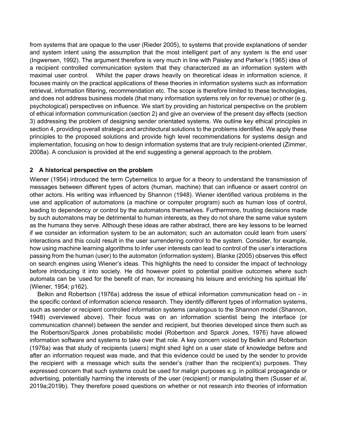from systems that are opaque to the user (Rieder 2005), to systems that provide explanations of sender and system intent using the assumption that the most intelligent part of any system is the end user (Ingwersen, 1992). The argument therefore is very much in line with Paisley and Parker's (1965) idea of a recipient controlled communication system that they characterized as an information system with maximal user control. Whilst the paper draws heavily on theoretical ideas in information science, it focuses mainly on the practical applications of these theories in information systems such as information retrieval, information filtering, recommendation etc. The scope is therefore limited to these technologies, and does not address business models (that many information systems rely on for revenue) or other (e.g. psychological) perspectives on influence. We start by providing an historical perspective on the problem of ethical information communication (section 2) and give an overview of the present day effects (section 3) addressing the problem of designing sender orientated systems. We outline key ethical principles in section 4, providing overall strategic and architectural solutions to the problems identified. We apply these principles to the proposed solutions and provide high level recommendations for systems design and implementation, focusing on how to design information systems that are truly recipient-oriented (Zimmer, 2008a). A conclusion is provided at the end suggesting a general approach to the problem.

#### **2 A historical perspective on the problem**

Wiener (1954) introduced the term Cybernetics to argue for a theory to understand the transmission of messages between different types of actors (human, machine) that can influence or assert control on other actors. His writing was influenced by Shannon (1948). Wiener identified various problems in the use and application of automatons (a machine or computer program) such as human loss of control, leading to dependency or control by the automatons themselves. Furthermore, trusting decisions made by such automatons may be detrimental to human interests, as they do not share the same value system as the humans they serve. Although these ideas are rather abstract, there are key lessons to be learned if we consider an information system to be an automaton; such an automaton could learn from users' interactions and this could result in the user surrendering control to the system. Consider, for example, how using machine learning algorithms to infer user interests can lead to control of the user's interactions passing from the human (user) to the automaton (information system). Blanke (2005) observes this effect on search engines using Wiener's ideas. This highlights the need to consider the impact of technology before introducing it into society. He did however point to potential positive outcomes where such automata can be 'used for the benefit of man, for increasing his leisure and enriching his spiritual life' (Wiener, 1954; p162).

Belkin and Robertson (1976a) address the issue of ethical information communication head on - in the specific context of information science research. They identify different types of information systems, such as sender or recipient controlled information systems (analogous to the Shannon model (Shannon, 1948) overviewed above). Their focus was on an information scientist being the interface (or communication channel) between the sender and recipient, but theories developed since them such as the Robertson/Sparck Jones probabilistic model (Robertson and Sparck Jones, 1976) have allowed information software and systems to take over that role. A key concern voiced by Belkin and Robertson (1976a) was that study of recipients (users) might shed light on a user state of knowledge before and after an information request was made, and that this evidence could be used by the sender to provide the recipient with a message which suits the sender's (rather than the recipient's) purposes. They expressed concern that such systems could be used for malign purposes e.g. in political propaganda or advertising, potentially harming the interests of the user (recipient) or manipulating them (Susser *et al*, 2019a;2019b). They therefore posed questions on whether or not research into theories of information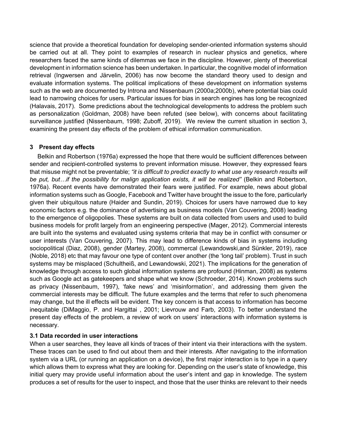science that provide a theoretical foundation for developing sender-oriented information systems should be carried out at all. They point to examples of research in nuclear physics and genetics, where researchers faced the same kinds of dilemmas we face in the discipline. However, plenty of theoretical development in information science has been undertaken. In particular, the cognitive model of information retrieval (Ingwersen and Järvelin, 2006) has now become the standard theory used to design and evaluate information systems. The political implications of these development on information systems such as the web are documented by Introna and Nissenbaum (2000a;2000b), where potential bias could lead to narrowing choices for users. Particular issues for bias in search engines has long be recognized (Halavais, 2017). Some predictions about the technological developments to address the problem such as personalization (Goldman, 2008) have been refuted (see below), with concerns about facilitating surveillance justified (Nissenbaum, 1998; Zuboff, 2019). We review the current situation in section 3, examining the present day effects of the problem of ethical information communication.

#### **3 Present day effects**

Belkin and Robertson (1976a) expressed the hope that there would be sufficient differences between sender and recipient-controlled systems to prevent information misuse. However, they expressed fears that misuse might not be preventable; *"it is difficult to predict exactly to what use any research results will be put, but…if the possibility for malign application exists, it will be realized"* (Belkin and Robertson, 1976a). Recent events have demonstrated their fears were justified. For example, news about global information systems such as Google, Facebook and Twitter have brought the issue to the fore, particularly given their ubiquitous nature (Haider and Sundin, 2019). Choices for users have narrowed due to key economic factors e.g. the dominance of advertising as business models (Van Couvering, 2008) leading to the emergence of oligopolies. These systems are built on data collected from users and used to build business models for profit largely from an engineering perspective (Mager, 2012). Commercial interests are built into the systems and evaluated using systems criteria that may be in conflict with consumer or user interests (Van Couvering, 2007). This may lead to difference kinds of bias in systems including sociopolitical (Diaz, 2008), gender (Martey, 2008), commercal (Lewandowski,and Sünkler, 2019), race (Noble, 2018) etc that may favour one type of content over another (the 'long tail' problem). Trust in such systems may be misplaced (Schultheiß, and Lewandowski, 2021). The implications for the generation of knowledge through access to such global information systems are profound (Hinman, 2008) as systems such as Google act as gatekeepers and shape what we know (Schroeder, 2014). Known problems such as privacy (Nissenbaum, 1997), 'fake news' and 'misinformation', and addressing them given the commercial interests may be difficult. The future examples and the terms that refer to such phenomena may change, but the ill effects will be evident. The key concern is that access to information has become inequitable (DiMaggio, P. and Hargittai , 2001; Lievrouw and Farb, 2003). To better understand the present day effects of the problem, a review of work on users' interactions with information systems is necessary.

#### **3.1 Data recorded in user interactions**

When a user searches, they leave all kinds of traces of their intent via their interactions with the system. These traces can be used to find out about them and their interests. After navigating to the information system via a URL (or running an application on a device), the first major interaction is to type in a query which allows them to express what they are looking for. Depending on the user's state of knowledge, this initial query may provide useful information about the user's intent and gap in knowledge. The system produces a set of results for the user to inspect, and those that the user thinks are relevant to their needs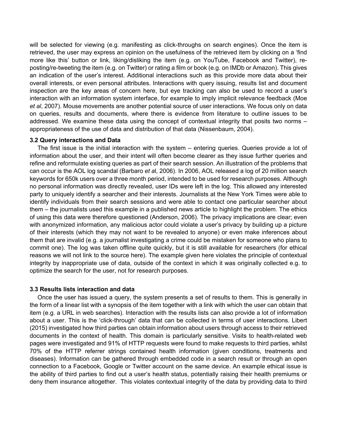will be selected for viewing (e.g. manifesting as click-throughs on search engines). Once the item is retrieved, the user may express an opinion on the usefulness of the retrieved item by clicking on a 'find more like this' button or link, liking/disliking the item (e.g. on YouTube, Facebook and Twitter), reposting/re-tweeting the item (e.g. on Twitter) or rating a film or book (e.g. on IMDb or Amazon). This gives an indication of the user's interest. Additional interactions such as this provide more data about their overall interests, or even personal attributes. Interactions with query issuing, results list and document inspection are the key areas of concern here, but eye tracking can also be used to record a user's interaction with an information system interface, for example to imply implicit relevance feedback (Moe *et al*, 2007). Mouse movements are another potential source of user interactions. We focus only on data on queries, results and documents, where there is evidence from literature to outline issues to be addressed. We examine these data using the concept of contextual integrity that posits two norms – appropriateness of the use of data and distribution of that data (Nissenbaum, 2004).

#### **3.2 Query interactions and Data**

The first issue is the initial interaction with the system – entering queries. Queries provide a lot of information about the user, and their intent will often become clearer as they issue further queries and refine and reformulate existing queries as part of their search session. An illustration of the problems that can occur is the AOL log scandal (Barbaro *et a*l, 2006). In 2006, AOL released a log of 20 million search keywords for 650k users over a three month period, intended to be used for research purposes. Although no personal information was directly revealed, user IDs were left in the log. This allowed any interested party to uniquely identify a searcher and their interests. Journalists at the New York Times were able to identify individuals from their search sessions and were able to contact one particular searcher about them – the journalists used this example in a published news article to highlight the problem. The ethics of using this data were therefore questioned (Anderson, 2006). The privacy implications are clear; even with anonymized information, any malicious actor could violate a user's privacy by building up a picture of their interests (which they may not want to be revealed to anyone) or even make inferences about them that are invalid (e.g. a journalist investigating a crime could be mistaken for someone who plans to commit one). The log was taken offline quite quickly, but it is still available for researchers (for ethical reasons we will not link to the source here). The example given here violates the principle of contextual integrity by inappropriate use of data, outside of the context in which it was originally collected e.g. to optimize the search for the user, not for research purposes.

#### **3.3 Results lists interaction and data**

Once the user has issued a query, the system presents a set of results to them. This is generally in the form of a linear list with a synopsis of the item together with a link with which the user can obtain that item (e.g. a URL in web searches). Interaction with the results lists can also provide a lot of information about a user. This is the 'click-through' data that can be collected in terms of user interactions. Libert (2015) investigated how third parties can obtain information about users through access to their retrieved documents in the context of health. This domain is particularly sensitive. Visits to health-related web pages were investigated and 91% of HTTP requests were found to make requests to third parties, whilst 70% of the HTTP referrer strings contained health information (given conditions, treatments and diseases). Information can be gathered through embedded code in a search result or through an open connection to a Facebook, Google or Twitter account on the same device. An example ethical issue is the ability of third parties to find out a user's health status, potentially raising their health premiums or deny them insurance altogether. This violates contextual integrity of the data by providing data to third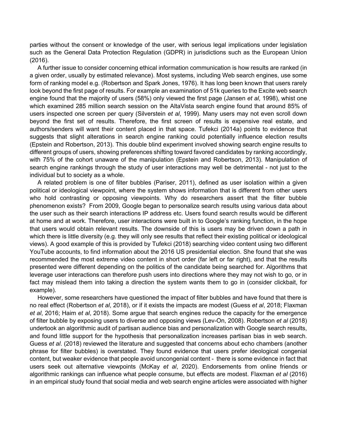parties without the consent or knowledge of the user, with serious legal implications under legislation such as the General Data Protection Regulation (GDPR) in jurisdictions such as the European Union (2016).

A further issue to consider concerning ethical information communication is how results are ranked (in a given order, usually by estimated relevance). Most systems, including Web search engines, use some form of ranking model e.g. (Robertson and Spark Jones, 1976). It has long been known that users rarely look beyond the first page of results. For example an examination of 51k queries to the Excite web search engine found that the majority of users (58%) only viewed the first page (Jansen *et al*, 1998), whist one which examined 285 million search session on the AltaVista search engine found that around 85% of users inspected one screen per query (Silverstein *et al*, 1999). Many users may not even scroll down beyond the first set of results. Therefore, the first screen of results is expensive real estate, and authors/senders will want their content placed in that space. Tufekci (2014a) points to evidence that suggests that slight alterations in search engine ranking could potentially influence election results (Epstein and Robertson, 2013). This double blind experiment involved showing search engine results to different groups of users, showing preferences shifting toward favored candidates by ranking accordingly, with 75% of the cohort unaware of the manipulation (Epstein and Robertson, 2013). Manipulation of search engine rankings through the study of user interactions may well be detrimental - not just to the individual but to society as a whole.

A related problem is one of filter bubbles (Pariser, 2011), defined as user isolation within a given political or ideological viewpoint, where the system shows information that is different from other users who hold contrasting or opposing viewpoints. Why do researchers assert that the filter bubble phenomenon exists? From 2009, Google began to personalize search results using various data about the user such as their search interactions IP address etc. Users found search results would be different at home and at work. Therefore, user interactions were built in to Google's ranking function, in the hope that users would obtain relevant results. The downside of this is users may be driven down a path in which there is little diversity (e.g. they will only see results that reflect their existing political or ideological views). A good example of this is provided by Tufekci (2018) searching video content using two different YouTube accounts, to find information about the 2016 US presidential election. She found that she was recommended the most extreme video content in short order (far left or far right), and that the results presented were different depending on the politics of the candidate being searched for. Algorithms that leverage user interactions can therefore push users into directions where they may not wish to go, or in fact may mislead them into taking a direction the system wants them to go in (consider clickbait, for example).

However, some researchers have questioned the impact of filter bubbles and have found that there is no real effect (Robertson *et al*, 2018), or if it exists the impacts are modest (Guess *et al*, 2018; Flaxman *et al*, 2016; Haim *et al*, 2018). Some argue that search engines reduce the capacity for the emergence of filter bubble by exposing users to diverse and opposing views (Lev-On, 2008). Robertson *et al* (2018) undertook an algorithmic audit of partisan audience bias and personalization with Google search results, and found little support for the hypothesis that personalization increases partisan bias in web search. Guess *et al*. (2018) reviewed the literature and suggested that concerns about echo chambers (another phrase for filter bubbles) is overstated. They found evidence that users prefer ideological congenial content, but weaker evidence that people avoid uncongenial content - there is some evidence in fact that users seek out alternative viewpoints (McKay *et al*, 2020). Endorsements from online friends or algorithmic rankings can influence what people consume, but effects are modest. Flaxman *et al* (2016) in an empirical study found that social media and web search engine articles were associated with higher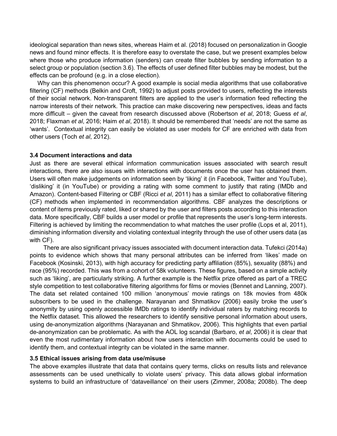ideological separation than news sites, whereas Haim et al. (2018) focused on personalization in Google news and found minor effects. It is therefore easy to overstate the case, but we present examples below where those who produce information (senders) can create filter bubbles by sending information to a select group or population (section 3.6). The effects of user defined filter bubbles may be modest, but the effects can be profound (e.g. in a close election).

Why can this phenomenon occur? A good example is social media algorithms that use collaborative filtering (CF) methods (Belkin and Croft, 1992) to adjust posts provided to users, reflecting the interests of their social network. Non-transparent filters are applied to the user's information feed reflecting the narrow interests of their network. This practice can make discovering new perspectives, ideas and facts more difficult – given the caveat from research discussed above (Robertson *et al*, 2018; Guess *et al*, 2018; Flaxman *et al*, 2016; Haim *et al*, 2018). It should be remembered that 'needs' are not the same as 'wants'. Contextual integrity can easily be violated as user models for CF are enriched with data from other users (Toch *et al*, 2012).

#### **3.4 Document interactions and data**

Just as there are several ethical information communication issues associated with search result interactions, there are also issues with interactions with documents once the user has obtained them. Users will often make judgements on information seen by 'liking' it (in Facebook, Twitter and YouTube), 'disliking' it (in YouTube) or providing a rating with some comment to justify that rating (IMDb and Amazon). Content-based Filtering or CBF (Ricci *et al*, 2011) has a similar effect to collaborative filtering (CF) methods when implemented in recommendation algorithms. CBF analyzes the descriptions or content of items previously rated, liked or shared by the user and filters posts according to this interaction data. More specifically, CBF builds a user model or profile that represents the user's long-term interests. Filtering is achieved by limiting the recommendation to what matches the user profile (Lops et al, 2011), diminishing information diversity and violating contextual integrity through the use of other users data (as with CF).

There are also significant privacy issues associated with document interaction data. Tufekci (2014a) points to evidence which shows that many personal attributes can be inferred from 'likes' made on Facebook (Kosinski, 2013), with high accuracy for predicting party affiliation (85%), sexuality (88%) and race (95%) recorded. This was from a cohort of 58k volunteers. These figures, based on a simple activity such as 'liking', are particularly striking. A further example is the Netflix prize offered as part of a TREC style competition to test collaborative filtering algorithms for films or movies (Bennet and Lanning, 2007). The data set related contained 100 million 'anonymous' movie ratings on 18k movies from 480k subscribers to be used in the challenge. Narayanan and Shmatikov (2006) easily broke the user's anonymity by using openly accessible IMDb ratings to identify individual raters by matching records to the Netflix dataset. This allowed the researchers to identify sensitive personal information about users, using de-anonymization algorithms (Narayanan and Shmatikov, 2006). This highlights that even partial de-anonymization can be problematic. As with the AOL log scandal (Barbaro, *et al*, 2006) it is clear that even the most rudimentary information about how users interaction with documents could be used to identify them, and contextual integrity can be violated in the same manner.

#### **3.5 Ethical issues arising from data use/misuse**

The above examples illustrate that data that contains query terms, clicks on results lists and relevance assessments can be used unethically to violate users' privacy. This data allows global information systems to build an infrastructure of 'dataveillance' on their users (Zimmer, 2008a; 2008b). The deep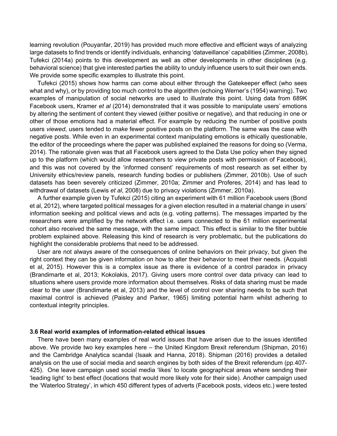learning revolution (Pouyanfar, 2019) has provided much more effective and efficient ways of analyzing large datasets to find trends or identify individuals, enhancing 'dataveillance' capabilities (Zimmer, 2008b). Tufekci (2014a) points to this development as well as other developments in other disciplines (e.g. behavioral science) that give interested parties the ability to unduly influence users to suit their own ends. We provide some specific examples to illustrate this point.

Tufekci (2015) shows how harms can come about either through the Gatekeeper effect (who sees what and why), or by providing too much control to the algorithm (echoing Werner's (1954) warning). Two examples of manipulation of social networks are used to illustrate this point. Using data from 689K Facebook users, Kramer *et al* (2014) demonstrated that it was possible to manipulate users' emotions by altering the sentiment of content they viewed (either positive or negative), and that reducing in one or other of those emotions had a material effect. For example by reducing the number of positive posts users *viewed*, users tended to *make* fewer positive posts on the platform. The same was the case with negative posts. While even in an experimental context manipulating emotions is ethically questionable, the editor of the proceedings where the paper was published explained the reasons for doing so (Verma, 2014). The rationale given was that all Facebook users agreed to the Data Use policy when they signed up to the platform (which would allow researchers to view private posts with permission of Facebook), and this was not covered by the 'informed consent' requirements of most research as set either by University ethics/review panels, research funding bodies or publishers (Zimmer, 2010b). Use of such datasets has been severely criticized (Zimmer, 2010a; Zimmer and Proferes, 2014) and has lead to withdrawal of datasets (Lewis *et al*, 2008) due to privacy violations (Zimmer, 2010a).

A further example given by Tufekci (2015) citing an experiment with 61 million Facebook users (Bond et al, 2012), where targeted political messages for a given election resulted in a material change in users' information seeking and political views and acts (e.g. voting patterns). The messages imparted by the researchers were amplified by the network effect i.e. users connected to the 61 million experimental cohort also received the same message, with the same impact. This effect is similar to the filter bubble problem explained above. Releasing this kind of research is very problematic, but the publications do highlight the considerable problems that need to be addressed.

User are not always aware of the consequences of online behaviors on their privacy, but given the right context they can be given information on how to alter their behavior to meet their needs. (Acquisti et al, 2015). However this is a complex issue as there is evidence of a control paradox in privacy (Brandimarte et al, 2013; Kokolakis, 2017). Giving users more control over data privacy can lead to situations where users provide more information about themselves. Risks of data sharing must be made clear to the user (Brandimarte et al, 2013) and the level of control over sharing needs to be such that maximal control is achieved (Paisley and Parker, 1965) limiting potential harm whilst adhering to contextual integrity principles.

#### **3.6 Real world examples of information-related ethical issues**

There have been many examples of real world issues that have arisen due to the issues identified above. We provide two key examples here – the United Kingdom Brexit referendum (Shipman, 2016) and the Cambridge Analytica scandal (Isaak and Hanna, 2018). Shipman (2016) provides a detailed analysis on the use of social media and search engines by both sides of the Brexit referendum (pp.407- 425). One leave campaign used social media 'likes' to locate geographical areas where sending their 'leading light' to best effect (locations that would more likely vote for their side). Another campaign used the 'Waterloo Strategy', in which 450 different types of adverts (Facebook posts, videos etc.) were tested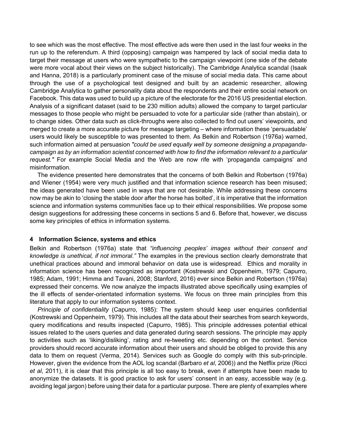to see which was the most effective. The most effective ads were then used in the last four weeks in the run up to the referendum. A third (opposing) campaign was hampered by lack of social media data to target their message at users who were sympathetic to the campaign viewpoint (one side of the debate were more vocal about their views on the subject historically). The Cambridge Analytica scandal (Isaak and Hanna, 2018) is a particularly prominent case of the misuse of social media data. This came about through the use of a psychological test designed and built by an academic researcher, allowing Cambridge Analytica to gather personality data about the respondents and their entire social network on Facebook. This data was used to build up a picture of the electorate for the 2016 US presidential election. Analysis of a significant dataset (said to be 230 million adults) allowed the company to target particular messages to those people who might be persuaded to vote for a particular side (rather than abstain), or to change sides. Other data such as click-throughs were also collected to find out users' viewpoints, and merged to create a more accurate picture for message targeting – where information these 'persuadable' users would likely be susceptible to was presented to them. As Belkin and Robertson (1976a) warned, such information aimed at persuasion *"could be used equally well by someone designing a propagandacampaign as by an information scientist concerned with how to find the information relevant to a particular request."* For example Social Media and the Web are now rife with 'propaganda campaigns' and misinformation.

The evidence presented here demonstrates that the concerns of both Belkin and Robertson (1976a) and Wiener (1954) were very much justified and that information science research has been misused; the ideas generated have been used in ways that are not desirable. While addressing these concerns now may be akin to 'closing the stable door after the horse has bolted', it is imperative that the information science and information systems communities face up to their ethical responsibilities. We propose some design suggestions for addressing these concerns in sections 5 and 6. Before that, however, we discuss some key principles of ethics in information systems.

#### **4 Information Science, systems and ethics**

Belkin and Robertson (1976a) state that *"influencing peoples' images without their consent and knowledge is unethical, if not immoral."* The examples in the previous section clearly demonstrate that unethical practices abound and immoral behavior on data use is widespread. Ethics and morality in information science has been recognized as important (Kostrewski and Oppenheim, 1979; Capurro, 1985; Adam, 1991; Himma and Tavani, 2008; Stanford, 2016) ever since Belkin and Robertson (1976a) expressed their concerns. We now analyze the impacts illustrated above specifically using examples of the ill effects of sender-orientated information systems. We focus on three main principles from this literature that apply to our information systems context.

*Principle of confidentiality* (Capurro, 1985): The system should keep user enquiries confidential (Kostrewski and Oppenheim, 1979). This includes all the data about their searches from search keywords, query modifications and results inspected (Capurro, 1985). This principle addresses potential ethical issues related to the users queries and data generated during search sessions. The principle may apply to activities such as 'liking/disliking', rating and re-tweeting etc. depending on the context. Service providers should record accurate information about their users and should be obliged to provide this any data to them on request (Verma, 2014). Services such as Google do comply with this sub-principle. However, given the evidence from the AOL log scandal (Barbaro *et al*, 2006)) and the Netflix prize (Ricci *et al*, 2011), it is clear that this principle is all too easy to break, even if attempts have been made to anonymize the datasets. It is good practice to ask for users' consent in an easy, accessible way (e.g. avoiding legal jargon) before using their data for a particular purpose. There are plenty of examples where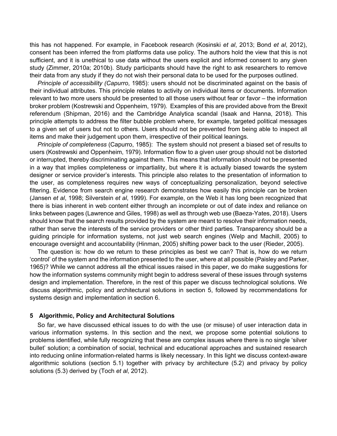this has not happened. For example, in Facebook research (Kosinski *et al*, 2013; Bond *et al*, 2012), consent has been inferred the from platforms data use policy. The authors hold the view that this is not sufficient, and it is unethical to use data without the users explicit and informed consent to any given study (Zimmer, 2010a; 2010b). Study participants should have the right to ask researchers to remove their data from any study if they do not wish their personal data to be used for the purposes outlined.

*Principle of accessibility (Capurro*, 1985): users should not be discriminated against on the basis of their individual attributes. This principle relates to activity on individual items or documents. Information relevant to two more users should be presented to all those users without fear or favor – the information broker problem (Kostrewski and Oppenheim, 1979). Examples of this are provided above from the Brexit referendum (Shipman, 2016) and the Cambridge Analytica scandal (Isaak and Hanna, 2018). This principle attempts to address the filter bubble problem where, for example, targeted political messages to a given set of users but not to others. Users should not be prevented from being able to inspect all items and make their judgement upon them, irrespective of their political leanings.

*Principle of completeness* (Capurro, 1985): The system should not present a biased set of results to users (Kostrewski and Oppenheim, 1979). Information flow to a given user group should not be distorted or interrupted, thereby discriminating against them. This means that information should not be presented in a way that implies completeness or impartiality, but where it is actually biased towards the system designer or service provider's interests. This principle also relates to the presentation of information to the user, as completeness requires new ways of conceptualizing personalization, beyond selective filtering. Evidence from search engine research demonstrates how easily this principle can be broken (Jansen *et al*, 1998; Silverstein *et al*, 1999). For example, on the Web it has long been recognized that there is bias inherent in web content either through an incomplete or out of date index and reliance on links between pages (Lawrence and Giles, 1998) as well as through web use (Baeza-Yates, 2018). Users should know that the search results provided by the system are meant to resolve their information needs, rather than serve the interests of the service providers or other third parties. Transparency should be a guiding principle for information systems, not just web search engines (Welp and Machill, 2005) to encourage oversight and accountability (Hinman, 2005) shifting power back to the user (Rieder, 2005).

The question is: how do we return to these principles as best we can? That is, how do we return 'control' of the system and the information presented to the user, where at all possible (Paisley and Parker, 1965)? While we cannot address all the ethical issues raised in this paper, we do make suggestions for how the information systems community might begin to address several of these issues through systems design and implementation. Therefore, in the rest of this paper we discuss technological solutions. We discuss algorithmic, policy and architectural solutions in section 5, followed by recommendations for systems design and implementation in section 6.

#### **5 Algorithmic, Policy and Architectural Solutions**

So far, we have discussed ethical issues to do with the use (or misuse) of user interaction data in various information systems. In this section and the next, we propose some potential solutions to problems identified, while fully recognizing that these are complex issues where there is no single 'silver bullet' solution; a combination of social, technical and educational approaches and sustained research into reducing online information-related harms is likely necessary. In this light we discuss context-aware algorithmic solutions (section 5.1) together with privacy by architecture (5.2) and privacy by policy solutions (5.3) derived by (Toch *et al*, 2012).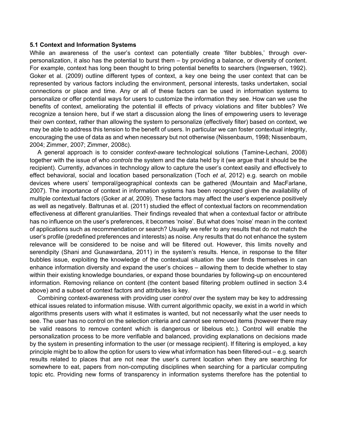#### **5.1 Context and Information Systems**

While an awareness of the user's context can potentially create 'filter bubbles,' through overpersonalization, it also has the potential to burst them – by providing a balance, or diversity of content. For example, context has long been thought to bring potential benefits to searchers (Ingwersen, 1992). Goker et al. (2009) outline different types of context, a key one being the user context that can be represented by various factors including the environment, personal interests, tasks undertaken, social connections or place and time. Any or all of these factors can be used in information systems to personalize or offer potential ways for users to customize the information they see. How can we use the benefits of context, ameliorating the potential ill effects of privacy violations and filter bubbles? We recognize a tension here, but if we start a discussion along the lines of empowering users to leverage their own context, rather than allowing the system to personalize (effectively filter) based on context, we may be able to address this tension to the benefit of users. In particular we can foster contextual integrity, encouraging the use of data as and when necessary but not otherwise (Nissenbaum, 1998; Nissenbaum, 2004; Zimmer, 2007; Zimmer, 2008c).

A general approach is to consider *context-aware* technological solutions (Tamine-Lechani, 2008) together with the issue of who *controls* the system and the data held by it (we argue that it should be the recipient). Currently, advances in technology allow to capture the user's context easily and effectively to effect behavioral, social and location based personalization (Toch *et al*, 2012) e.g. search on mobile devices where users' temporal/geographical contexts can be gathered (Mountain and MacFarlane, 2007). The importance of context in information systems has been recognized given the availability of multiple contextual factors (Goker *at al*, 2009). These factors may affect the user's experience positively as well as negatively. Baltrunas et al. (2011) studied the effect of contextual factors on recommendation effectiveness at different granularities. Their findings revealed that when a contextual factor or attribute has no influence on the user's preferences, it becomes 'noise'. But what does 'noise' mean in the context of applications such as recommendation or search? Usually we refer to any results that do not match the user's profile (predefined preferences and interests) as noise. Any results that do not enhance the system relevance will be considered to be noise and will be filtered out. However, this limits novelty and serendipity (Shani and Gunawardana, 2011) in the system's results. Hence, in response to the filter bubbles issue, exploiting the knowledge of the contextual situation the user finds themselves in can enhance information diversity and expand the user's choices – allowing them to decide whether to stay within their existing knowledge boundaries, or expand those boundaries by following-up on encountered information. Removing reliance on content (the content based filtering problem outlined in section 3.4 above) and a subset of context factors and attributes is key.

Combining context-awareness with providing user *control* over the system may be key to addressing ethical issues related to information misuse. With current algorithmic opacity, we exist in a world in which algorithms presents users with what it estimates is wanted, but not necessarily what the user needs to see. The user has no control on the selection criteria and cannot see removed items (however there may be valid reasons to remove content which is dangerous or libelous etc.). Control will enable the personalization process to be more verifiable and balanced, providing explanations on decisions made by the system in presenting information to the user (or message recipient). If filtering is employed, a key principle might be to allow the option for users to view what information has been filtered-out – e.g. search results related to places that are not near the user's current location when they are searching for somewhere to eat, papers from non-computing disciplines when searching for a particular computing topic etc. Providing new forms of transparency in information systems therefore has the potential to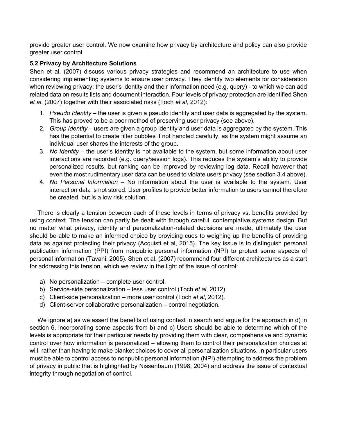provide greater user control. We now examine how privacy by architecture and policy can also provide greater user control.

#### **5.2 Privacy by Architecture Solutions**

Shen et al. (2007) discuss various privacy strategies and recommend an architecture to use when considering implementing systems to ensure user privacy. They identify two elements for consideration when reviewing privacy: the user's identity and their information need (e.g. query) - to which we can add related data on results lists and document interaction. Four levels of privacy protection are identified Shen *et al*. (2007) together with their associated risks (Toch *et al*, 2012):

- 1. *Pseudo Identity* the user is given a pseudo identity and user data is aggregated by the system. This has proved to be a poor method of preserving user privacy (see above).
- 2. *Group Identity* users are given a group identity and user data is aggregated by the system. This has the potential to create filter bubbles if not handled carefully, as the system might assume an individual user shares the interests of the group.
- 3. *No Identity* the user's identity is not available to the system, but some information about user interactions are recorded (e.g. query/session logs). This reduces the system's ability to provide personalized results, but ranking can be improved by reviewing log data. Recall however that even the most rudimentary user data can be used to violate users privacy (see section 3.4 above).
- 4. *No Personal Information* No information about the user is available to the system. User interaction data is not stored. User profiles to provide better information to users cannot therefore be created, but is a low risk solution.

There is clearly a tension between each of these levels in terms of privacy vs. benefits provided by using context. The tension can partly be dealt with through careful, contemplative systems design. But no matter what privacy, identity and personalization-related decisions are made, ultimately the user should be able to make an informed choice by providing cues to weighing up the benefits of providing data as against protecting their privacy (Acquisti et al, 2015). The key issue is to distinguish personal publication information (PPI) from nonpublic personal information (NPI) to protect some aspects of personal information (Tavani, 2005). Shen et al. (2007) recommend four different architectures as a start for addressing this tension, which we review in the light of the issue of control:

- a) No personalization complete user control.
- b) Service-side personalization less user control (Toch *et al*, 2012).
- c) Client-side personalization more user control (Toch *et al*, 2012).
- d) Client-server collaborative personalization control negotiation.

We ignore a) as we assert the benefits of using context in search and argue for the approach in d) in section 6, incorporating some aspects from b) and c) Users should be able to determine which of the levels is appropriate for their particular needs by providing them with clear, comprehensive and dynamic control over how information is personalized – allowing them to control their personalization choices at will, rather than having to make blanket choices to cover all personalization situations. In particular users must be able to control access to nonpublic personal information (NPI) attempting to address the problem of privacy in public that is highlighted by Nissenbaum (1998; 2004) and address the issue of contextual integrity through negotiation of control.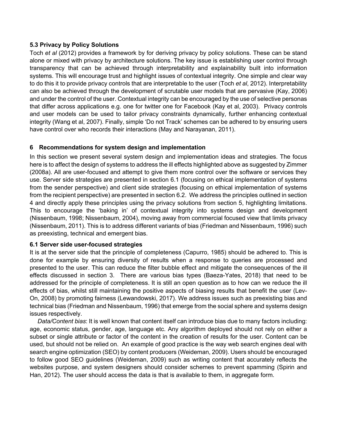#### **5.3 Privacy by Policy Solutions**

Toch *et al* (2012) provides a framework by for deriving privacy by policy solutions. These can be stand alone or mixed with privacy by architecture solutions. The key issue is establishing user control through transparency that can be achieved through interpretability and explainability built into information systems. This will encourage trust and highlight issues of contextual integrity. One simple and clear way to do this it to provide privacy controls that are interpretable to the user (Toch *et al*, 2012). Interpretability can also be achieved through the development of scrutable user models that are pervasive (Kay, 2006) and under the control of the user. Contextual integrity can be encouraged by the use of selective personas that differ across applications e.g. one for twitter one for Facebook (Kay et al, 2003). Privacy controls and user models can be used to tailor privacy constraints dynamically, further enhancing contextual integrity (Wang et al, 2007). Finally, simple 'Do not Track' schemes can be adhered to by ensuring users have control over who records their interactions (May and Narayanan, 2011).

#### **6 Recommendations for system design and implementation**

In this section we present several system design and implementation ideas and strategies. The focus here is to affect the design of systems to address the ill effects highlighted above as suggested by Zimmer (2008a). All are user-focused and attempt to give them more control over the software or services they use. Server side strategies are presented in section 6.1 (focusing on ethical implementation of systems from the sender perspective) and client side strategies (focusing on ethical implementation of systems from the recipient perspective) are presented in section 6.2. We address the principles outlined in section 4 and directly apply these principles using the privacy solutions from section 5, highlighting limitations. This to encourage the 'baking in' of contextual integrity into systems design and development (Nissenbaum, 1998; Nissenbaum, 2004), moving away from commercial focused view that limits privacy (Nissenbaum, 2011). This is to address different variants of bias (Friedman and Nissenbaum, 1996) such as preexisting, technical and emergent bias.

#### **6.1 Server side user-focused strategies**

It is at the server side that the principle of completeness (Capurro, 1985) should be adhered to. This is done for example by ensuring diversity of results when a response to queries are processed and presented to the user. This can reduce the filter bubble effect and mitigate the consequences of the ill effects discussed in section 3. There are various bias types (Baeza-Yates, 2018) that need to be addressed for the principle of completeness. It is still an open question as to how can we reduce the ill effects of bias, whilst still maintaining the positive aspects of biasing results that benefit the user (Lev-On, 2008) by promoting fairness (Lewandowski, 2017). We address issues such as preexisting bias and technical bias (Friedman and Nissenbaum, 1996) that emerge from the social sphere and systems design issues respectively.

*Data/Content bias*: It is well known that content itself can introduce bias due to many factors including: age, economic status, gender, age, language etc. Any algorithm deployed should not rely on either a subset or single attribute or factor of the content in the creation of results for the user. Content can be used, but should not be relied on. An example of good practice is the way web search engines deal with search engine optimization (SEO) by content producers (Weideman, 2009). Users should be encouraged to follow good SEO guidelines (Weideman, 2009) such as writing content that accurately reflects the websites purpose, and system designers should consider schemes to prevent spamming (Spirin and Han, 2012). The user should access the data is that is available to them, in aggregate form.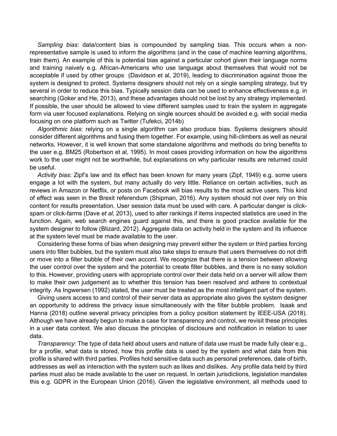*Sampling bias*: data/content bias is compounded by sampling bias. This occurs when a nonrepresentative sample is used to inform the algorithms (and in the case of machine learning algorithms, train them). An example of this is potential bias against a particular cohort given their language norms and training naively e.g. African-Americans who use language about themselves that would not be acceptable if used by other groups (Davidson et al, 2019), leading to discrimination against those the system is designed to protect. Systems designers should not rely on a single sampling strategy, but try several in order to reduce this bias. Typically session data can be used to enhance effectiveness e.g. in searching (Goker and He, 2013), and these advantages should not be lost by any strategy implemented. If possible, the user should be allowed to view different samples used to train the system in aggregate form via user focused explanations. Relying on single sources should be avoided e.g. with social media focusing on one platform such as Twitter (Tufekci, 2014b)

*Algorithmic bias*: relying on a single algorithm can also produce bias. Systems designers should consider different algorithms and fusing them together. For example, using hill-climbers as well as neural networks. However, it is well known that some standalone algorithms and methods do bring benefits to the user e.g. BM25 (Robertson et al, 1995). In most cases providing information on how the algorithms work to the user might not be worthwhile, but explanations on why particular results are returned could be useful.

*Activity bias*: Zipf's law and its effect has been known for many years (Zipf, 1949) e.g. some users engage a lot with the system, but many actually do very little. Reliance on certain activities, such as reviews in Amazon or Netflix, or posts on Facebook will bias results to the most active users. This kind of effect was seen in the Brexit referendum (Shipman, 2016). Any system should not over rely on this content for results presentation. User session data must be used with care. A particular danger is clickspam or click-farms (Dave *et al*, 2013), used to alter rankings if items inspected statistics are used in the function. Again, web search engines guard against this, and there is good practice available for the system designer to follow (Blizard, 2012). Aggregate data on activity held in the system and its influence at the system level must be made available to the user.

Considering these forms of bias when designing may prevent either the system or third parties forcing users into filter bubbles, but the system must also take steps to ensure that users themselves do not drift or move into a filter bubble of their own accord. We recognize that there is a tension between allowing the user control over the system and the potential to create filter bubbles, and there is no easy solution to this. However, providing users with appropriate control over their data held on a server will allow them to make their own judgement as to whether this tension has been resolved and adhere to contextual integrity. As Ingwersen (1992) stated, the user must be treated as the most intelligent part of the system.

Giving users access to and control of their server data as appropriate also gives the system designer an opportunity to address the privacy issue simultaneously with the filter bubble problem. Isaak and Hanna (2018) outline several privacy principles from a policy position statement by IEEE-USA (2018). Although we have already begun to make a case for transparency and control, we revisit these principles in a user data context. We also discuss the principles of disclosure and notification in relation to user data.

*Transparency*: The type of data held about users and nature of data use must be made fully clear e.g., for a profile, what data is stored, how this profile data is used by the system and what data from this profile is shared with third parties. Profiles hold sensitive data such as personal preferences, date of birth, addresses as well as interaction with the system such as likes and dislikes. Any profile data held by third parties must also be made available to the user on request. In certain jurisdictions, legislation mandates this e.g. GDPR in the European Union (2016). Given the legislative environment, all methods used to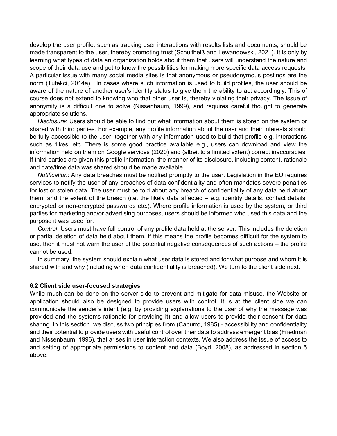develop the user profile, such as tracking user interactions with results lists and documents, should be made transparent to the user, thereby promoting trust (Schultheiß and Lewandowski, 2021). It is only by learning what types of data an organization holds about them that users will understand the nature and scope of their data use and get to know the possibilities for making more specific data access requests. A particular issue with many social media sites is that anonymous or pseudonymous postings are the norm (Tufekci, 2014a). In cases where such information is used to build profiles, the user should be aware of the nature of another user's identity status to give them the ability to act accordingly. This of course does not extend to knowing who that other user is, thereby violating their privacy. The issue of anonymity is a difficult one to solve (Nissenbaum, 1999), and requires careful thought to generate appropriate solutions.

*Disclosure*: Users should be able to find out what information about them is stored on the system or shared with third parties. For example, any profile information about the user and their interests should be fully accessible to the user, together with any information used to build that profile e.g. interactions such as 'likes' etc. There is some good practice available e.g., users can download and view the information held on them on Google services (2020) and (albeit to a limited extent) correct inaccuracies. If third parties are given this profile information, the manner of its disclosure, including content, rationale and date/time data was shared should be made available.

*Notification*: Any data breaches must be notified promptly to the user. Legislation in the EU requires services to notify the user of any breaches of data confidentiality and often mandates severe penalties for lost or stolen data. The user must be told about any breach of confidentiality of any data held about them, and the extent of the breach (i.e. the likely data affected – e.g. identity details, contact details, encrypted or non-encrypted passwords etc.). Where profile information is used by the system, or third parties for marketing and/or advertising purposes, users should be informed who used this data and the purpose it was used for.

*Control*: Users must have full control of any profile data held at the server. This includes the deletion or partial deletion of data held about them. If this means the profile becomes difficult for the system to use, then it must not warn the user of the potential negative consequences of such actions – the profile cannot be used.

In summary, the system should explain what user data is stored and for what purpose and whom it is shared with and why (including when data confidentiality is breached). We turn to the client side next.

#### **6.2 Client side user-focused strategies**

While much can be done on the server side to prevent and mitigate for data misuse, the Website or application should also be designed to provide users with control. It is at the client side we can communicate the sender's intent (e.g. by providing explanations to the user of why the message was provided and the systems rationale for providing it) and allow users to provide their consent for data sharing. In this section, we discuss two principles from (Capurro, 1985) - accessibility and confidentiality and their potential to provide users with useful control over their data to address emergent bias (Friedman and Nissenbaum, 1996), that arises in user interaction contexts. We also address the issue of access to and setting of appropriate permissions to content and data (Boyd, 2008), as addressed in section 5 above.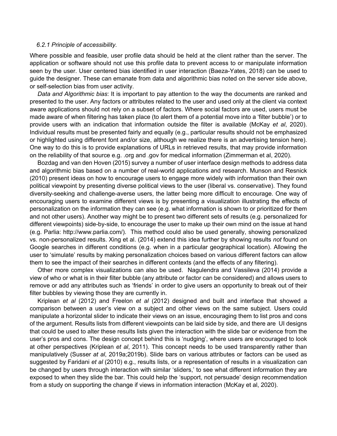#### *6.2.1 Principle of accessibility.*

Where possible and feasible, user profile data should be held at the client rather than the server. The application or software should not use this profile data to prevent access to or manipulate information seen by the user. User centered bias identified in user interaction (Baeza-Yates, 2018) can be used to guide the designer. These can emanate from data and algorithmic bias noted on the server side above, or self-selection bias from user activity.

*Data and Algorithmic bias*: It is important to pay attention to the way the documents are ranked and presented to the user. Any factors or attributes related to the user and used only at the client via context aware applications should not rely on a subset of factors. Where social factors are used, users must be made aware of when filtering has taken place (to alert them of a potential move into a 'filter bubble') or to provide users with an indication that information outside the filter is available (McKay *et al*, 2020). Individual results must be presented fairly and equally (e.g., particular results should not be emphasized or highlighted using different font and/or size, although we realize there is an advertising tension here). One way to do this is to provide explanations of URLs in retrieved results, that may provide information on the reliability of that source e.g. .org and .gov for medical information (Zimmerman et al, 2020).

Bozdag and van den Hoven (2015) survey a number of user interface design methods to address data and algorithmic bias based on a number of real-world applications and research. Munson and Resnick (2010) present ideas on how to encourage users to engage more widely with information than their own political viewpoint by presenting diverse political views to the user (liberal vs. conservative). They found diversity-seeking and challenge-averse users, the latter being more difficult to encourage. One way of encouraging users to examine different views is by presenting a visualization illustrating the effects of personalization on the information they can see (e.g. what information is shown to or prioritized for them and not other users). Another way might be to present two different sets of results (e.g. personalized for different viewpoints) side-by-side, to encourage the user to make up their own mind on the issue at hand (e.g. Parlia: http://www.parlia.com/). This method could also be used generally, showing personalized vs. non-personalized results. Xing et al. (2014) extend this idea further by showing results *not* found on Google searches in different conditions (e.g. when in a particular geographical location). Allowing the user to 'simulate' results by making personalization choices based on various different factors can allow them to see the impact of their searches in different contexts (and the effects of any filtering).

Other more complex visualizations can also be used. Nagulendra and Vassileva (2014) provide a view of who or what is in their filter bubble (any attribute or factor can be considered) and allows users to remove or add any attributes such as 'friends' in order to give users an opportunity to break out of their filter bubbles by viewing those they are currently in.

Kriplean *et al* (2012) and Freelon *et al* (2012) designed and built and interface that showed a comparison between a user's view on a subject and other views on the same subject. Users could manipulate a horizontal slider to indicate their views on an issue, encouraging them to list pros and cons of the argument. Results lists from different viewpoints can be laid side by side, and there are UI designs that could be used to alter these results lists given the interaction with the slide bar or evidence from the user's pros and cons. The design concept behind this is 'nudging', where users are encouraged to look at other perspectives (Kriplean *et al*, 2011). This concept needs to be used transparently rather than manipulatively (Susser *at al*, 2019a;2019b). Slide bars on various attributes or factors can be used as suggested by Faridani *et al* (2010) e.g., results lists, or a representation of results in a visualization can be changed by users through interaction with similar 'sliders,' to see what different information they are exposed to when they slide the bar. This could help the 'support, not persuade' design recommendation from a study on supporting the change if views in information interaction (McKay et al, 2020).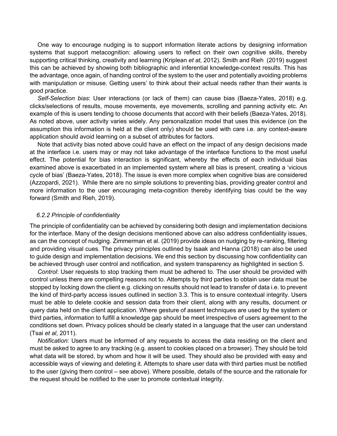One way to encourage nudging is to support information literate actions by designing information systems that support metacognition: allowing users to reflect on their own cognitive skills, thereby supporting critical thinking, creativity and learning (Kriplean *et at,* 2012). Smith and Rieh (2019) suggest this can be achieved by showing both bibliographic and inferential knowledge-context results. This has the advantage, once again, of handing control of the system to the user and potentially avoiding problems with manipulation or misuse. Getting users' to think about their actual needs rather than their wants is good practice.

*Self-Selection bias*: User interactions (or lack of them) can cause bias (Baeza-Yates, 2018) e.g. clicks/selections of results, mouse movements, eye movements, scrolling and panning activity etc. An example of this is users tending to choose documents that accord with their beliefs (Baeza-Yates, 2018). As noted above, user activity varies widely. Any personalization model that uses this evidence (on the assumption this information is held at the client only) should be used with care i.e. any context-aware application should avoid learning on a subset of attributes for factors.

Note that activity bias noted above could have an effect on the impact of any design decisions made at the interface i.e. users may or may not take advantage of the interface functions to the most useful effect. The potential for bias interaction is significant, whereby the effects of each individual bias examined above is exacerbated in an implemented system where all bias is present, creating a 'vicious cycle of bias' (Baeza-Yates, 2018). The issue is even more complex when cognitive bias are considered (Azzopardi, 2021). While there are no simple solutions to preventing bias, providing greater control and more information to the user encouraging meta-cognition thereby identifying bias could be the way forward (Smith and Rieh, 2019).

#### *6.2.2 Principle of confidentiality*

The principle of confidentiality can be achieved by considering both design and implementation decisions for the interface. Many of the design decisions mentioned above can also address confidentiality issues, as can the concept of nudging. Zimmerman et al. (2019) provide ideas on nudging by re-ranking, filtering and providing visual cues. The privacy principles outlined by Isaak and Hanna (2018) can also be used to guide design and implementation decisions. We end this section by discussing how confidentiality can be achieved through user control and notification, and system transparency as highlighted in section 5.

*Control*: User requests to stop tracking them must be adhered to. The user should be provided with control unless there are compelling reasons not to. Attempts by third parties to obtain user data must be stopped by locking down the client e.g. clicking on results should not lead to transfer of data i.e. to prevent the kind of third-party access issues outlined in section 3.3. This is to ensure contextual integrity. Users must be able to delete cookie and session data from their client, along with any results, document or query data held on the client application. Where gesture of assent techniques are used by the system or third parties, information to fulfill a knowledge gap should be meet irrespective of users agreement to the conditions set down. Privacy polices should be clearly stated in a language that the user can understand (Tsai *et al*, 2011).

*Notification*: Users must be informed of any requests to access the data residing on the client and must be asked to agree to any tracking (e.g. assent to cookies placed on a browser). They should be told what data will be stored, by whom and how it will be used. They should also be provided with easy and accessible ways of viewing and deleting it. Attempts to share user data with third parties must be notified to the user (giving them control – see above). Where possible, details of the source and the rationale for the request should be notified to the user to promote contextual integrity.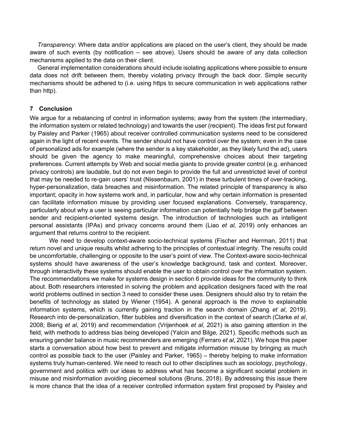*Transparency*: Where data and/or applications are placed on the user's client, they should be made aware of such events (by notification – see above). Users should be aware of any data collection mechanisms applied to the data on their client.

General implementation considerations should include isolating applications where possible to ensure data does not drift between them, thereby violating privacy through the back door. Simple security mechanisms should be adhered to (i.e. using https to secure communication in web applications rather than http).

#### **7 Conclusion**

We argue for a rebalancing of control in information systems; away from the system (the intermediary, the information system or related technology) and towards the user (recipient). The ideas first put forward by Paisley and Parker (1965) about receiver controlled communication systems need to be considered again in the light of recent events. The sender should not have control over the system; even in the case of personalized ads for example (where the sender is a key stakeholder, as they likely fund the ad), users should be given the agency to make meaningful, comprehensive choices about their targeting preferences. Current attempts by Web and social media giants to provide greater control (e.g. enhanced privacy controls) are laudable, but do not even begin to provide the full and unrestricted level of control that may be needed to re-gain users' trust (Nissenbaum, 2001) in these turbulent times of over-tracking, hyper-personalization, data breaches and misinformation. The related principle of transparency is also important; opacity in how systems work and, in particular, how and why certain information is presented can facilitate information misuse by providing user focused explanations. Conversely, transparency, particularly about why a user is seeing particular information can potentially help bridge the gulf between sender and recipient-oriented systems design. The introduction of technologies such as intelligent personal assistants (IPAs) and privacy concerns around them (Liao *et al,* 2019) only enhances an argument that returns control to the recipient.

We need to develop context-aware socio-technical systems (Fischer and Herrman, 2011) that return novel and unique results whilst adhering to the principles of contextual integrity. The results could be uncomfortable, challenging or opposite to the user's point of view. The Context-aware socio-technical systems should have awareness of the user's knowledge background, task and context. Moreover, through interactivity these systems should enable the user to obtain control over the information system. The recommendations we make for systems design in section 6 provide ideas for the community to think about. Both researchers interested in solving the problem and application designers faced with the real world problems outlined in section 3 need to consider these uses. Designers should also try to retain the benefits of technology as stated by Wiener (1954). A general approach is the move to explainable information systems, which is currently gaining traction in the search domain (Zhang *et al*, 2019). Research into de-personalization, filter bubbles and diversification in the context of search (Clarke *et al*, 2008; Bierig *et al*, 2019) and recommendation (Vrijenhoek *et al,* 2021) is also gaining attention in the field, with methods to address bias being developed (Yalcin and Bilge, 2021). Specific methods such as ensuring gender balance in music recommenders are emerging (Ferraro *et al*, 2021). We hope this paper starts a conversation about how best to prevent and mitigate information misuse by bringing as much control as possible back to the user (Paisley and Parker, 1965) – thereby helping to make information systems truly human-centered. We need to reach out to other disciplines such as sociology, psychology, government and politics with our ideas to address what has become a significant societal problem in misuse and misinformation avoiding piecemeal solutions (Bruns, 2018). By addressing this issue there is more chance that the idea of a receiver controlled information system first proposed by Paisley and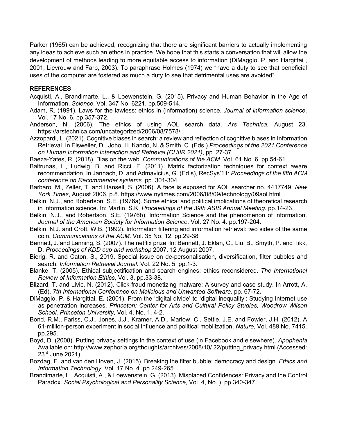Parker (1965) can be achieved, recognizing that there are significant barriers to actually implementing any ideas to achieve such an ethos in practice. We hope that this starts a conversation that will allow the development of methods leading to more equitable access to information (DiMaggio, P. and Hargittai , 2001; Lievrouw and Farb, 2003). To paraphrase Holmes (1974) we "have a duty to see that beneficial uses of the computer are fostered as much a duty to see that detrimental uses are avoided"

#### **REFERENCES**

- Acquisti, A., Brandimarte, L., & Loewenstein, G. (2015). Privacy and Human Behavior in the Age of Information. *Science*, Vol, 347 No. 6221. pp.509-514.
- Adam, R. (1991). Laws for the lawless: ethics in (information) science. *Journal of information science*. Vol. 17 No. 6. pp.357-372.
- Anderson, N. (2006). The ethics of using AOL search data. *Ars Technica*, August 23. https://arstechnica.com/uncategorized/2006/08/7578/
- Azzopardi, L. (2021). Cognitive biases in search: a review and reflection of cognitive biases in Information Retrieval. In Elsweiler, D., Joho, H. Kando, N. & Smith, C. (Eds.) *Proceedings of the 2021 Conference on Human Information Interaction and Retrieval (CHIIR 2021)*, pp. 27-37.
- Baeza-Yates, R. (2018). Bias on the web. *Communications of the ACM*. Vol. 61 No. 6. pp.54-61.
- Baltrunas, L., Ludwig, B. and Ricci, F. (2011). Matrix factorization techniques for context aware recommendation. In Jannach, D. and Admavicius, G. (Ed.s), RecSys'11: *Proceedings of the fifth ACM conference on Recommender systems.* pp. 301-304.
- Barbaro, M., Zeller, T. and Hansell, S. (2006). A face is exposed for AOL searcher no. 4417749. *New York Times*, August 2006. p.8. https://www.nytimes.com/2006/08/09/technology/09aol.html
- Belkin, N.J., and Robertson, S.E. (1976a). Some ethical and political implications of theoretical research in information science. In: Martin, S.K, *Proceedings of the 39th ASIS Annual Meeting*. pp.14-23.
- Belkin, N.J., and Robertson, S.E. (1976b). Information Science and the phenomenon of information. *Journal of the American Society for Information Science*, Vol. 27 No. 4. pp.197-204.
- Belkin, N.J. and Croft, W.B. (1992). Information filtering and information retrieval: two sides of the same coin. *Communications of the ACM*. Vol. 35 No. 12. pp.29-38
- Bennett, J. and Lanning, S. (2007). The netflix prize. In: Bennett, J. Eklan, C., Liu, B., Smyth, P. and Tikk, D. *Proceedings of KDD cup and workshop* 2007. 12 August 2007.
- Bierig, R. and Caton, S., 2019. Special issue on de-personalisation, diversification, filter bubbles and search. *Information Retrieval Journal*. Vol. 22 No. 5. pp.1-3.
- Blanke, T. (2005). Ethical subjectification and search engines: ethics reconsidered. *The International Review of Information Ethics*, Vol. 3, pp.33-38.
- Blizard, T. and Livic, N. (2012). Click-fraud monetizing malware: A survey and case study. In Arrott, A. (Ed). *7th International Conference on Malicious and Unwanted Software*. pp. 67-72.
- DiMaggio, P. & Hargittai, E. (2001). From the 'digital divide' to 'digital inequality': Studying Internet use as penetration increases. *Princeton: Center for Arts and Cultural Policy Studies, Woodrow Wilson School, Princeton University*, Vol. 4. No. 1, 4-2.
- Bond, R.M., Fariss, C.J., Jones, J.J., Kramer, A.D., Marlow, C., Settle, J.E. and Fowler, J.H. (2012). A 61-million-person experiment in social influence and political mobilization. *Nature*, Vol. 489 No. 7415. pp.295.
- Boyd, D. (2008). Putting privacy settings in the context of use (in Facebook and elsewhere). *Apophenia* Available on: http://www.zephoria.org/thoughts/archives/2008/10/ 22/putting\_privacy.html (Accessed: 23<sup>rd</sup> June 2021).
- Bozdag, E. and van den Hoven, J. (2015). Breaking the filter bubble: democracy and design. *Ethics and Information Technology*, Vol. 17 No. 4. pp.249-265.
- Brandimarte, L., Acquisti, A., & Loewenstein, G. (2013). Misplaced Confidences: Privacy and the Control Paradox. *Social Psychological and Personality Science*, Vol. 4, No. ), pp.340-347.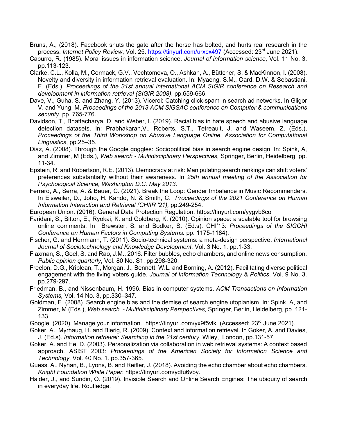- Bruns, A., (2018). Facebook shuts the gate after the horse has bolted, and hurts real research in the process. *Internet Policy Review*, Vol. 25. https://tinyurl.com/urxcx497 (Accessed: 23rd June 2021).
- Capurro, R. (1985). Moral issues in information science. *Journal of information science*, Vol. 11 No. 3. pp.113-123.
- Clarke, C.L., Kolla, M., Cormack, G.V., Vechtomova, O., Ashkan, A., Büttcher, S. & MacKinnon, I. (2008). Novelty and diversity in information retrieval evaluation. In: Myaeng, S.M., Oard, D.W. & Sebastiani, F. (Eds.), *Proceedings of the 31st annual international ACM SIGIR conference on Research and development in information retrieval (SIGIR 2008)*, pp.659-666.
- Dave, V., Guha, S. and Zhang, Y. (2013). Viceroi: Catching click-spam in search ad networks. In Gligor V. and Yung, M. *Proceedings of the 2013 ACM SIGSAC conference on Computer & communications security*. pp. 765-776.
- Davidson, T., Bhattacharya, D. and Weber, I. (2019). Racial bias in hate speech and abusive language detection datasets. In: Prabhakaran,V., Roberts, S.T., Tetreault, J. and Waseem, Z. (Eds.), *Proceedings of the Third Workshop on Abusive Language Online, Association for Computational Linguistics*, pp.25–35.
- Diaz, A. (2008). Through the Google goggles: Sociopolitical bias in search engine design. In: Spink, A, and Zimmer, M (Eds.), *Web search - Multidisciplinary Perspectives,* Springer, Berlin, Heidelberg, pp. 11-34.
- Epstein, R. and Robertson, R.E. (2013). Democracy at risk: Manipulating search rankings can shift voters' preferences substantially without their awareness. In *25th annual meeting of the Association for Psychological Science, Washington D.C. May 2013*.
- Ferraro, A., Serra, A. & Bauer, C. (2021). Break the Loop: Gender Imbalance in Music Recommenders. In Elsweiler, D., Joho, H. Kando, N. & Smith, C. *Proceedings of the 2021 Conference on Human Information Interaction and Retrieval (CHIIR '21),* pp.249-254.
- European Union. (2016). General Data Protection Regulation. https://tinyurl.com/yygvb6co
- Faridani, S., Bitton, E., Ryokai, K. and Goldberg, K. (2010). Opinion space: a scalable tool for browsing online comments. In Brewster, S. and Bodker, S. (Ed.s). CHI'13: *Proceedings of the SIGCHI Conference on Human Factors in Computing Systems.* pp. 1175-1184).
- Fischer, G. and Herrmann, T. (2011). Socio-technical systems: a meta-design perspective. *International Journal of Sociotechnology and Knowledge Development.* Vol. 3 No. 1. pp.1-33.
- Flaxman, S., Goel, S. and Rao, J.M., 2016. Filter bubbles, echo chambers, and online news consumption. *Public opinion quarterly*, Vol. 80 No. S1. pp.298-320.
- Freelon, D.G., Kriplean, T., Morgan, J., Bennett, W.L. and Borning, A. (2012). Facilitating diverse political engagement with the living voters guide. *Journal of Information Technology & Politics*, Vol. 9 No. 3. pp.279-297.
- Friedman, B., and Nissenbaum, H. 1996. Bias in computer systems. *ACM Transactions on Information Systems,* Vol. 14 No. 3, pp.330–347.
- Goldman, E. (2008). Search engine bias and the demise of search engine utopianism. In: Spink, A, and Zimmer, M (Eds.), *Web search - Multidisciplinary Perspectives,* Springer, Berlin, Heidelberg, pp. 121- 133.
- Google. (2020). Manage your information. https://tinyurl.com/yx9f5vlk (Accessed: 23<sup>rd</sup> June 2021).
- Goker, A., Myrhaug, H. and Bierig, R. (2009). Context and information retrieval. In Goker, A. and Davies, J. (Ed.s). *Information retrieval: Searching in the 21st century*. Wiley, London, pp.131-57.
- Goker, A. and He, D. (2003). Personalization via collaboration in web retrieval systems: A context based approach. ASIST 2003: *Proceedings of the American Society for Information Science and Technology*, Vol. 40 No. 1. pp.357-365.
- Guess, A., Nyhan, B., Lyons, B. and Reifler, J. (2018). Avoiding the echo chamber about echo chambers. *Knight Foundation White Paper*. https://tinyurl.com/ydfu6vby.
- Haider, J., and Sundin, O. (2019). Invisible Search and Online Search Engines: The ubiquity of search in everyday life. Routledge.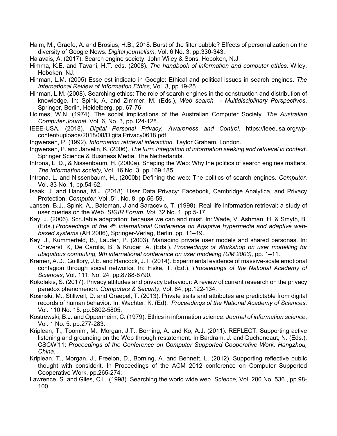- Haim, M., Graefe, A. and Brosius, H.B., 2018. Burst of the filter bubble? Effects of personalization on the diversity of Google News. *Digital journalism*, Vol. 6 No. 3. pp.330-343.
- Halavais, A. (2017). Search engine society. John Wiley & Sons, Hoboken, N.J.
- Himma, K.E. and Tavani, H.T. eds. (2008). *The handbook of information and computer ethics*. Wiley, Hoboken, NJ.
- Hinman, L.M. (2005) Esse est indicato in Google: Ethical and political issues in search engines. *The International Review of Information Ethics*, Vol. 3, pp.19-25.
- Hinman, L.M. (2008). Searching ethics: The role of search engines in the construction and distribution of knowledge. In: Spink, A, and Zimmer, M. (Eds.), *Web search - Multidisciplinary Perspectives*. Springer, Berlin, Heidelberg, pp. 67-76.
- Holmes, W.N. (1974). The social implications of the Australian Computer Society. *The Australian Computer Journal*, Vol. 6, No. 3, pp.124-128.
- IEEE-USA. (2018). *Digital Personal Privacy, Awareness and Control*. https://ieeeusa.org/wpcontent/uploads/2018/08/DigitalPrivacy0618.pdf
- Ingwersen, P. (1992). *Information retrieval interaction*. Taylor Graham, London.
- Ingwersen, P. and Järvelin, K. (2006). *The turn: Integration of information seeking and retrieval in context*. Springer Science & Business Media, The Netherlands.
- Introna, L. D., & Nissenbaum, H. (2000a). Shaping the Web: Why the politics of search engines matters. *The Information society,* Vol. 16 No. 3, pp.169-185.
- Introna, L. and Nissenbaum, H., (2000b) Defining the web: The politics of search engines. *Computer*, Vol. 33 No. 1, pp.54-62.
- Isaak, J. and Hanna, M.J. (2018). User Data Privacy: Facebook, Cambridge Analytica, and Privacy Protection. *Computer*. Vol .51, No. 8. pp.56-59.
- Jansen, B.J., Spink, A., Bateman, J and Saracevic, T. (1998). Real life information retrieval: a study of user queries on the Web. *SIGIR Forum. Vol.* 32 No. 1. pp.5-17.
- Kay, J. (2006). Scrutable adaptation: because we can and must. In: Wade, V. Ashman, H. & Smyth, B. (Eds.).*Proceedings of the 4th International Conference on Adaptive hypermedia and adaptive webbased systems* (AH 2006), Springer-Verlag, Berlin, pp. 11–19..
- Kay, J., Kummerfeld, B., Lauder, P. (2003). Managing private user models and shared personas. In: Cheverst, K, De Carolis, B. & Kruger, A. (Eds.). *Proceedings of Workshop on user modelling for ubiquitous computing, 9th international conference on user modeling (UM 2003),* pp. 1–11.
- Kramer, A.D., Guillory, J.E. and Hancock, J.T. (2014). Experimental evidence of massive-scale emotional contagion through social networks. In: Fiske, T. (Ed.). *Proceedings of the National Academy of Sciences*, Vol. 111. No. 24. pp.8788-8790.
- Kokolakis, S. (2017). Privacy attitudes and privacy behaviour: A review of current research on the privacy paradox phenomenon. *Computers & Security*, Vol. 64, pp.122-134.
- Kosinski, M., Stillwell, D. and Graepel, T. (2013). Private traits and attributes are predictable from digital records of human behavior. In: Wachter, K. (Ed). *Proceedings of the National Academy of Sciences*. Vol. 110 No. 15. pp.5802-5805.
- Kostrewski, B.J. and Oppenheim, C. (1979). Ethics in information science. *Journal of information science*, Vol. 1 No. 5. pp.277-283.
- Kriplean, T., Toomim, M., Morgan, J.T., Borning, A. and Ko, A.J. (2011). REFLECT: Supporting active listening and grounding on the Web through restatement. In Bardram, J. and Ducheneaut, N. (Eds.). CSCW'11: *Proceedings of the Conference on Computer Supported Cooperative Work, Hangzhou, China*.
- Kriplean, T., Morgan, J., Freelon, D., Borning, A. and Bennett, L. (2012). Supporting reflective public thought with considerit. In Proceedings of the ACM 2012 conference on Computer Supported Cooperative Work. pp.265-274.
- Lawrence, S. and Giles, C.L. (1998). Searching the world wide web. *Science*, Vol. 280 No. 536., pp.98- 100.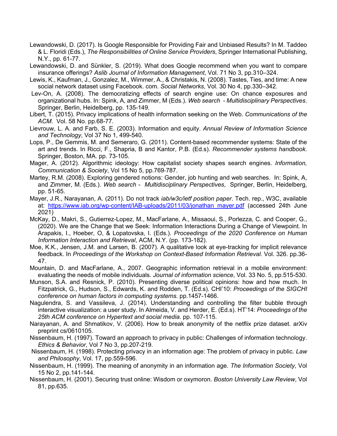- Lewandowski, D. (2017). Is Google Responsible for Providing Fair and Unbiased Results? In M. Taddeo & L. Floridi (Eds.), *The Responsibilities of Online Service Providers*, Springer International Publishing, N.Y., pp. 61-77.
- Lewandowski, D. and Sünkler, S. (2019). What does Google recommend when you want to compare insurance offerings? *Aslib Journal of Information Management*, Vol. 71 No 3, pp.310–324.
- Lewis, K., Kaufman, J., Gonzalez, M., Wimmer, A., & Christakis, N. (2008). Tastes, Ties, and time: A new social network dataset using Facebook. com. *Social Networks*, Vol. 30 No 4, pp.330–342.
- Lev-On, A. (2008). The democratizing effects of search engine use: On chance exposures and organizational hubs. In: Spink, A, and Zimmer, M (Eds.). *Web search - Multidisciplinary Perspectives*. Springer, Berlin, Heidelberg, pp. 135-149.
- Libert, T. (2015). Privacy implications of health information seeking on the Web. *Communications of the ACM*. Vol. 58 No. pp.68-77.
- Lievrouw, L. A. and Farb, S. E. (2003). Information and equity. *Annual Review of Information Science and Technology*, Vol 37 No 1, 499-540.
- Lops, P., De Gemmis, M. and Semeraro, G. (2011). Content-based recommender systems: State of the art and trends. In Ricci, F., Shapria, B and Kantor, P.B. (Ed.s). *Recommender systems handbook*. Springer, Boston, MA. pp. 73-105.
- Mager, A. (2012). Algorithmic ideology: How capitalist society shapes search engines. *Information, Communication & Society*, Vol 15 No 5, pp.769-787.
- Martey, R.M. (2008). Exploring gendered notions: Gender, job hunting and web searches. In: Spink, A, and Zimmer, M. (Eds.). *Web search - Multidisciplinary Perspectives*, Springer, Berlin, Heidelberg, pp. 51-65.
- Mayer, J.R., Narayanan, A. (2011). Do not track *iab/w3c/ietf position paper*. Tech. rep., W3C, available at: https://www.iab.org/wp-content/IAB-uploads/2011/03/jonathan\_mayer.pdf (accessed 24th June 2021)
- McKay, D., Makri, S., Gutierrez-Lopez, M., MacFarlane, A., Missaoui, S., Porlezza, C. and Cooper, G., (2020). We are the Change that we Seek: Information Interactions During a Change of Viewpoint. In Arapakis, I., Hoeber, O, & Lopatovska, I. (Eds.). *Proceedings of the 2020 Conference on Human Information Interaction and Retrieval*, ACM, N.Y. (pp. 173-182).
- Moe, K.K., Jensen, J.M. and Larsen, B. (2007). A qualitative look at eye-tracking for implicit relevance feedback. In *Proceedings of the Workshop on Context-Based Information Retrieval*. Vol. 326. pp.36- 47.
- Mountain, D. and MacFarlane, A., 2007. Geographic information retrieval in a mobile environment: evaluating the needs of mobile individuals. *Journal of information science*, Vol. 33 No. 5, pp.515-530.
- Munson, S.A. and Resnick, P. (2010). Presenting diverse political opinions: how and how much. In Fitzpatrick, G., Hudson, S., Edwards, K. and Rodden, T. (Ed.s). CHI'10: *Proceedings of the SIGCHI conference on human factors in computing systems.* pp.1457-1466.
- Nagulendra, S. and Vassileva, J. (2014). Understanding and controlling the filter bubble through interactive visualization: a user study. In Almeida, V. and Herder, E. (Ed.s). HT'14: *Proceedings of the 25th ACM conference on Hypertext and social media*. pp. 107-115.
- Narayanan, A. and Shmatikov, V. (2006). How to break anonymity of the netflix prize dataset. arXiv preprint cs/0610105.
- Nissenbaum, H. (1997). Toward an approach to privacy in public: Challenges of information technology. *Ethics & Behavior*, Vol 7 No 3, pp.207-219.
- Nissenbaum, H. (1998). Protecting privacy in an information age: The problem of privacy in public. *Law and Philosophy*, Vol. 17, pp.559-596.
- Nissenbaum, H. (1999). The meaning of anonymity in an information age. *The Information Society*, Vol 15 No 2, pp.141-144.
- Nissenbaum, H. (2001). Securing trust online: Wisdom or oxymoron. *Boston University Law Review*, Vol 81, pp.635.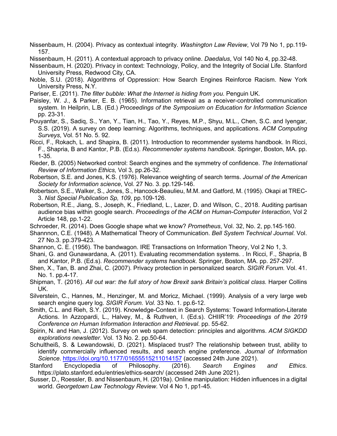Nissenbaum, H. (2004). Privacy as contextual integrity. *Washington Law Review*, Vol 79 No 1, pp.119- 157.

Nissenbaum, H. (2011). A contextual approach to privacy online. *Daedalus*, Vol 140 No 4, pp.32-48.

- Nissenbaum, H. (2020). Privacy in context: Technology, Policy, and the Integrity of Social Life. Stanford University Press, Redwood City, CA.
- Noble, S.U. (2018). Algorithms of Oppression: How Search Engines Reinforce Racism. New York University Press, N.Y.
- Pariser, E. (2011). *The filter bubble: What the Internet is hiding from you*. Penguin UK.
- Paisley, W. J., & Parker, E. B. (1965). Information retrieval as a receiver-controlled communication system. In Heilprin, L.B. (Ed.) *Proceedings of the Symposium on Education for Information Science* pp. 23-31.
- Pouyanfar, S., Sadiq, S., Yan, Y., Tian, H., Tao, Y., Reyes, M.P., Shyu, M.L., Chen, S.C. and Iyengar, S.S. (2019). A survey on deep learning: Algorithms, techniques, and applications. *ACM Computing Surveys*, Vol. 51 No. 5. 92.
- Ricci, F., Rokach, L. and Shapira, B. (2011). Introduction to recommender systems handbook. In Ricci, F., Shapria, B and Kantor, P.B. (Ed.s). *Recommender systems handbook*. Springer, Boston, MA. pp. 1-35.
- Rieder, B. (2005) Networked control: Search engines and the symmetry of confidence. *The International Review of Information Ethics,* Vol 3, pp.26-32.
- Robertson, S.E. and Jones, K.S. (1976). Relevance weighting of search terms. *Journal of the American Society for Information science*, Vol. 27 No. 3. pp.129-146.
- Robertson, S.E., Walker, S., Jones, S., Hancock-Beaulieu, M.M. and Gatford, M. (1995). Okapi at TREC-3. *Nist Special Publication Sp, 109*, pp.109-126.
- Robertson, R.E., Jiang, S., Joseph, K., Friedland, L., Lazer, D. and Wilson, C., 2018. Auditing partisan audience bias within google search. *Proceedings of the ACM on Human-Computer Interaction*, Vol 2 Article 148, pp.1-22.
- Schroeder, R. (2014). Does Google shape what we know? *Prometheus*, Vol. 32, No. 2, pp.145-160.
- Shannnon, C.E. (1948). A Mathematical Theory of Communication. *Bell System Technical Journal*. Vol. 27 No.3. pp.379-423.
- Shannon, C. E. (1956). The bandwagon. IRE Transactions on Information Theory, Vol 2 No 1, 3.
- Shani, G. and Gunawardana, A. (2011). Evaluating recommendation systems. . In Ricci, F., Shapria, B and Kantor, P.B. (Ed.s). *Recommender systems handbook*. Springer, Boston, MA. pp. 257-297.
- Shen, X., Tan, B. and Zhai, C. (2007). Privacy protection in personalized search. *SIGIR Forum.* Vol. 41. No. 1. pp.4-17.
- Shipman, T. (2016). *All out war: the full story of how Brexit sank Britain's political class*. Harper Collins UK.
- Silverstein, C., Hannes, M., Henzinger, M. and Moricz, Michael. (1999). Analysis of a very large web search engine query log. *SIGIR Forum. Vol.* 33 No. 1. pp.6-12.
- Smith, C.L. and Rieh, S.Y. (2019). Knowledge-Context in Search Systems: Toward Information-Literate Actions. In Azzopardi, L., Halvey, M., & Ruthven, I. (Ed.s). CHIIR'19: *Proceedings of the 2019 Conference on Human Information Interaction and Retrieval*. pp. 55-62.
- Spirin, N. and Han, J. (2012). Survey on web spam detection: principles and algorithms. *ACM SIGKDD explorations newsletter.* Vol. 13 No. 2. pp.50-64.
- Schultheiß, S. & Lewandowski, D. (2021). Misplaced trust? The relationship between trust, ability to identify commercially influenced results, and search engine preference. *Journal of Information Science*. https://doi.org/10.1177/01655515211014157 (accessed 24th June 2021).
- Stanford Encyclopedia of Philosophy. (2016). *Search Engines and Ethics*. https://plato.stanford.edu/entries/ethics-search/ (accessed 24th June 2021).
- Susser, D., Roessler, B. and Nissenbaum, H. (2019a). Online manipulation: Hidden influences in a digital world. *Georgetown Law Technology Review*. Vol 4 No 1, pp1-45.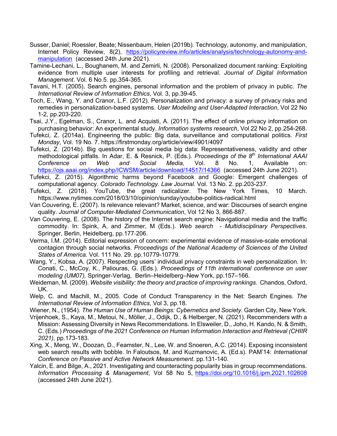- Susser, Daniel; Roessler, Beate; Nissenbaum, Helen (2019b). Technology, autonomy, and manipulation, Internet Policy Review, 8(2), https://policyreview.info/articles/analysis/technology-autonomy-andmanipulation (accessed 24th June 2021).
- Tamine-Lechani, L., Boughanem, M. and Zemirli, N. (2008). Personalized document ranking: Exploiting evidence from multiple user interests for profiling and retrieval. *Journal of Digital Information Management*. Vol. 6 No.5. pp.354-365.
- Tavani, H.T. (2005). Search engines, personal information and the problem of privacy in public. *The International Review of Information Ethics*, Vol. 3, pp.39-45.
- Toch, E., Wang, Y. and Cranor, L.F. (2012). Personalization and privacy: a survey of privacy risks and remedies in personalization-based systems. *User Modeling and User-Adapted Interaction*, Vol 22 No 1-2, pp.203-220.
- Tsai, J.Y., Egelman, S., Cranor, L. and Acquisti, A. (2011). The effect of online privacy information on purchasing behavior: An experimental study. *Information systems research*, Vol 22 No 2, pp.254-268.
- Tufekci, Z. (2014a). Engineering the public: Big data, surveillance and computational politics. *First Monday*, Vol. 19 No. 7. https://firstmonday.org/article/view/4901/4097
- Tufekci, Z. (2014b). Big questions for social media big data: Representativeness, validity and other methodological pitfalls. In Adar, E. & Resnick, P. (Eds.). *Proceedings of the 8th International AAAI Conference on Web and Social Media,* Vol. 8 No. 1, Available on: https://ojs.aaai.org/index.php/ICWSM/article/download/14517/14366 (accessed 24th June 2021).
- Tufekci, Z. (2015). Algorithmic harms beyond Facebook and Google: Emergent challenges of computational agency. *Colorado Technology. Law Journal*. Vol. 13 No. 2. pp.203-237.
- Tufekci, Z. (2018). YouTube, the great radicalizer. The New York Times, 10 March. https://www.nytimes.com/2018/03/10/opinion/sunday/youtube-politics-radical.html
- Van Couvering, E. (2007). Is relevance relevant? Market, science, and war: Discourses of search engine quality. *Journal of Computer-Mediated Communication*, Vol 12 No 3, 866-887.
- Van Couvering, E. (2008). The history of the Internet search engine: Navigational media and the traffic commodity. In: Spink, A, and Zimmer, M (Eds.). *Web search - Multidisciplinary Perspectives*. Springer, Berlin, Heidelberg, pp.177-206.
- Verma, I.M. (2014). Editorial expression of concern: experimental evidence of massive-scale emotional contagion through social networks. *Proceedings of the National Academy of Sciences of the United States of America*. Vol. 111 No. 29. pp.10779-10779.
- Wang, Y., Kobsa, A. (2007). Respecting users' individual privacy constraints in web personalization. In: Conati, C., McCoy, K., Paliouras, G. (Eds.). *Proceedings of 11th international conference on user modeling (UM07),* Springer-Verlag, Berlin–Heidelberg–New York, pp.157–166.
- Weideman, M. (2009). *Website visibility: the theory and practice of improving rankings*. Chandos, Oxford, UK.
- Welp, C. and Machill, M., 2005. Code of Conduct Transparency in the Net: Search Engines. *The International Review of Information Ethics*, Vol 3, pp.18.
- Wiener, N., (1954). *The Human Use of Human Beings: Cybernetics and Society*. Garden City, New York.
- Vrijenhoek, S., Kaya, M., Metoui, N., Möller, J., Odijk, D., & Helberger, N. (2021). Recommenders with a Mission: Assessing Diversity in News Recommendations. In Elsweiler, D., Joho, H. Kando, N. & Smith, C. (Eds.) *Proceedings of the 2021 Conference on Human Information Interaction and Retrieval (CHIIR 2021)*, pp.173-183.
- Xing, X., Meng, W., Doozan, D., Feamster, N., Lee, W. and Snoeren, A.C. (2014). Exposing inconsistent web search results with bobble. In Faloutsos, M. and Kuzmanovic, A. (Ed.s). PAM'14: *International Conference on Passive and Active Network Measurement*. pp.131-140.
- Yalcin, E. and Bilge, A., 2021. Investigating and counteracting popularity bias in group recommendations. *Information Processing & Management*, Vol 58 No 5, https://doi.org/10.1016/j.ipm.2021.102608 (accessed 24th June 2021).